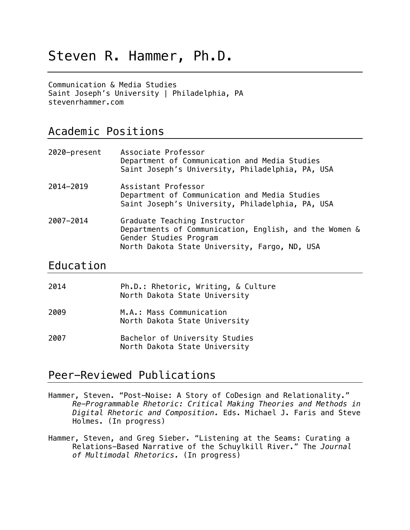# Steven R. Hammer, Ph.D.

Communication & Media Studies Saint Joseph's University | Philadelphia, PA stevenrhammer.com

### Academic Positions

| 2020-present | Associate Professor<br>Department of Communication and Media Studies<br>Saint Joseph's University, Philadelphia, PA, USA                                          |
|--------------|-------------------------------------------------------------------------------------------------------------------------------------------------------------------|
| 2014-2019    | Assistant Professor<br>Department of Communication and Media Studies<br>Saint Joseph's University, Philadelphia, PA, USA                                          |
| 2007-2014    | Graduate Teaching Instructor<br>Departments of Communication, English, and the Women &<br>Gender Studies Program<br>North Dakota State University, Fargo, ND, USA |

#### Education

| 2014 | Ph.D.: Rhetoric, Writing, & Culture<br>North Dakota State University |
|------|----------------------------------------------------------------------|
| 2009 | M.A.: Mass Communication<br>North Dakota State University            |
| 2007 | Bachelor of University Studies<br>North Dakota State University      |

# Peer-Reviewed Publications

Hammer, Steven. "Post-Noise: A Story of CoDesign and Relationality." *Re-Programmable Rhetoric: Critical Making Theories and Methods in Digital Rhetoric and Composition.* Eds. Michael J. Faris and Steve Holmes. (In progress)

Hammer, Steven, and Greg Sieber. "Listening at the Seams: Curating a Relations-Based Narrative of the Schuylkill River." The *Journal of Multimodal Rhetorics.* (In progress)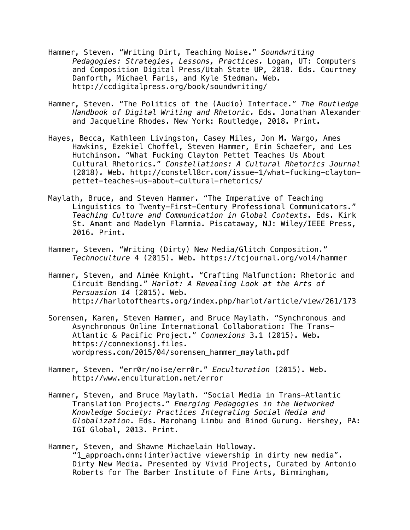- Hammer, Steven. "Writing Dirt, Teaching Noise." *Soundwriting Pedagogies: Strategies, Lessons, Practices.* Logan, UT: Computers and Composition Digital Press/Utah State UP, 2018. Eds. Courtney Danforth, Michael Faris, and Kyle Stedman. Web. http://ccdigitalpress.org/book/soundwriting/
- Hammer, Steven. "The Politics of the (Audio) Interface." *The Routledge Handbook of Digital Writing and Rhetoric.* Eds. Jonathan Alexander and Jacqueline Rhodes. New York: Routledge, 2018. Print.
- Hayes, Becca, Kathleen Livingston, Casey Miles, Jon M. Wargo, Ames Hawkins, Ezekiel Choffel, Steven Hammer, Erin Schaefer, and Les Hutchinson. "What Fucking Clayton Pettet Teaches Us About Cultural Rhetorics." *Constellations: A Cultural Rhetorics Journal* (2018)*.* Web. http://constell8cr.com/issue-1/what-fucking-claytonpettet-teaches-us-about-cultural-rhetorics/
- Maylath, Bruce, and Steven Hammer. "The Imperative of Teaching Linguistics to Twenty-First-Century Professional Communicators." *Teaching Culture and Communication in Global Contexts*. Eds. Kirk St. Amant and Madelyn Flammia. Piscataway, NJ: Wiley/IEEE Press, 2016. Print.
- Hammer, Steven. "Writing (Dirty) New Media/Glitch Composition." *Technoculture* 4 (2015). Web. https://tcjournal.org/vol4/hammer
- Hammer, Steven, and Aimée Knight. "Crafting Malfunction: Rhetoric and Circuit Bending." *Harlot: A Revealing Look at the Arts of Persuasion 14* (2015). Web. http://harlotofthearts.org/index.php/harlot/article/view/261/173
- Sorensen, Karen, Steven Hammer, and Bruce Maylath. "Synchronous and Asynchronous Online International Collaboration: The Trans-Atlantic & Pacific Project." *Connexions* 3.1 (2015). Web. https://connexionsj.files. wordpress.com/2015/04/sorensen\_hammer\_maylath.pdf
- Hammer, Steven. "err0r/no¡se/err0r." *Enculturation* (2015). Web. http://www.enculturation.net/error
- Hammer, Steven, and Bruce Maylath. "Social Media in Trans-Atlantic Translation Projects." *Emerging Pedagogies in the Networked Knowledge Society: Practices Integrating Social Media and Globalization*. Eds. Marohang Limbu and Binod Gurung. Hershey, PA: IGI Global, 2013. Print.
- Hammer, Steven, and Shawne Michaelain Holloway. "1\_approach.dnm:(inter)active viewership in dirty new media". Dirty New Media. Presented by Vivid Projects, Curated by Antonio Roberts for The Barber Institute of Fine Arts, Birmingham,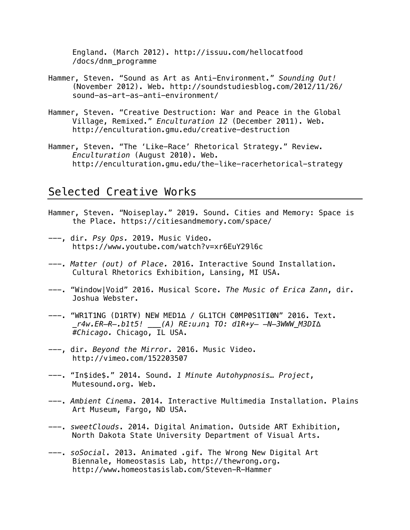England. (March 2012). http://issuu.com/hellocatfood /docs/dnm\_programme

- Hammer, Steven. "Sound as Art as Anti-Environment." *Sounding Out!* (November 2012). Web. http://soundstudiesblog.com/2012/11/26/ sound-as-art-as-anti-environment/
- Hammer, Steven. "Creative Destruction: War and Peace in the Global Village, Remixed." *Enculturation 12* (December 2011). Web. http://enculturation.gmu.edu/creative-destruction
- Hammer, Steven. "The 'Like-Race' Rhetorical Strategy." Review. *Enculturation* (August 2010). Web. http://enculturation.gmu.edu/the-like-racerhetorical-strategy

# Selected Creative Works

- Hammer, Steven. "Noiseplay." 2019. Sound. Cities and Memory: Space is the Place. https://citiesandmemory.com/space/
- ---, dir. *Psy Ops.* 2019. Music Video. https://www.youtube.com/watch?v=xr6EuY29l6c
- *---. Matter (out) of Place.* 2016. Interactive Sound Installation. Cultural Rhetorics Exhibition, Lansing, MI USA.
- ---. "Window|Void" 2016. Musical Score. *The Music of Erica Zann*, dir. Joshua Webster.
- ---. "WR1T1NG (D1RT¥) NEW MED1∆ / GL1TCH C0MP0S1TI0N" 2016. Text. *\_r4w.EɌ̶Ɍ̶.b1t5! \_\_\_(A) RE:uɹnʇ TO: d1Ɍ+y̶ ̶N̶3WWW\_M3DI∆ #Chicago.* Chicago, IL USA.
- ---, dir. *Beyond the Mirror.* 2016. Music Video. http://vimeo.com/152203507
- ---. "In\$ide\$." 2014. Sound. *1 Minute Autohypnosis… Project*, Mutesound.org. Web.
- ---. *Ambient Cinema*. 2014. Interactive Multimedia Installation. Plains Art Museum, Fargo, ND USA.
- ---. *sweetClouds*. 2014. Digital Animation. Outside ART Exhibition, North Dakota State University Department of Visual Arts.
- ---. *soSocial*. 2013. Animated .gif. The Wrong New Digital Art Biennale, Homeostasis Lab, http://thewrong.org. http://www.homeostasislab.com/Steven-R-Hammer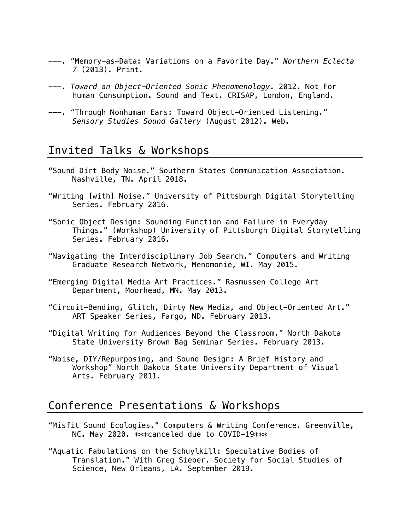- ---. "Memory-as-Data: Variations on a Favorite Day." *Northern Eclecta 7* (2013). Print.
- ---. *Toward an Object-Oriented Sonic Phenomenology.* 2012. Not For Human Consumption. Sound and Text. CRISAP, London, England.
- ---. "Through Nonhuman Ears: Toward Object-Oriented Listening." *Sensory Studies Sound Gallery* (August 2012). Web.

### Invited Talks & Workshops

- "Sound Dirt Body Noise." Southern States Communication Association. Nashville, TN. April 2018.
- "Writing [with] Noise." University of Pittsburgh Digital Storytelling Series. February 2016.
- "Sonic Object Design: Sounding Function and Failure in Everyday Things." (Workshop) University of Pittsburgh Digital Storytelling Series. February 2016.
- "Navigating the Interdisciplinary Job Search." Computers and Writing Graduate Research Network, Menomonie, WI. May 2015.
- "Emerging Digital Media Art Practices." Rasmussen College Art Department, Moorhead, MN. May 2013.
- "Circuit-Bending, Glitch, Dirty New Media, and Object-Oriented Art." ART Speaker Series, Fargo, ND. February 2013.
- "Digital Writing for Audiences Beyond the Classroom." North Dakota State University Brown Bag Seminar Series. February 2013.
- "Noise, DIY/Repurposing, and Sound Design: A Brief History and Workshop" North Dakota State University Department of Visual Arts. February 2011.

### Conference Presentations & Workshops

- "Misfit Sound Ecologies." Computers & Writing Conference. Greenville, NC. May 2020. \*\*\*canceled due to COVID-19\*\*\*
- "Aquatic Fabulations on the Schuylkill: Speculative Bodies of Translation." With Greg Sieber. Society for Social Studies of Science, New Orleans, LA. September 2019.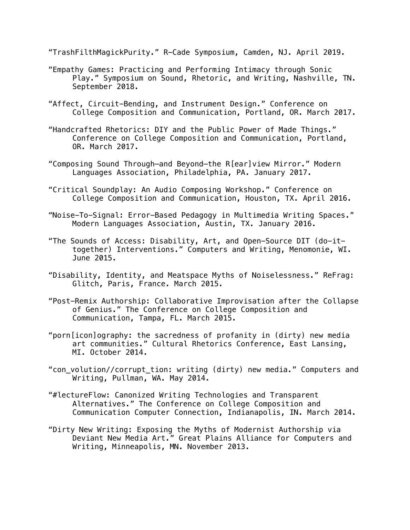"TrashFilthMagickPurity." R-Cade Symposium, Camden, NJ. April 2019.

- "Empathy Games: Practicing and Performing Intimacy through Sonic Play." Symposium on Sound, Rhetoric, and Writing, Nashville, TN. September 2018.
- "Affect, Circuit-Bending, and Instrument Design." Conference on College Composition and Communication, Portland, OR. March 2017.
- "Handcrafted Rhetorics: DIY and the Public Power of Made Things." Conference on College Composition and Communication, Portland, OR. March 2017.
- "Composing Sound Through—and Beyond—the R[ear]view Mirror." Modern Languages Association, Philadelphia, PA. January 2017.
- "Critical Soundplay: An Audio Composing Workshop." Conference on College Composition and Communication, Houston, TX. April 2016.
- "Noise-To-Signal: Error-Based Pedagogy in Multimedia Writing Spaces." Modern Languages Association, Austin, TX. January 2016.
- "The Sounds of Access: Disability, Art, and Open-Source DIT (do-ittogether) Interventions." Computers and Writing, Menomonie, WI. June 2015.
- "Disability, Identity, and Meatspace Myths of Noiselessness." ReFrag: Glitch, Paris, France. March 2015.
- "Post-Remix Authorship: Collaborative Improvisation after the Collapse of Genius." The Conference on College Composition and Communication, Tampa, FL. March 2015.
- "porn[icon]ography: the sacredness of profanity in (dirty) new media art communities." Cultural Rhetorics Conference, East Lansing, MI. October 2014.
- "con volution//corrupt tion: writing (dirty) new media." Computers and Writing, Pullman, WA. May 2014.
- "#lectureFlow: Canonized Writing Technologies and Transparent Alternatives." The Conference on College Composition and Communication Computer Connection, Indianapolis, IN. March 2014.
- "Dirty New Writing: Exposing the Myths of Modernist Authorship via Deviant New Media Art." Great Plains Alliance for Computers and Writing, Minneapolis, MN. November 2013.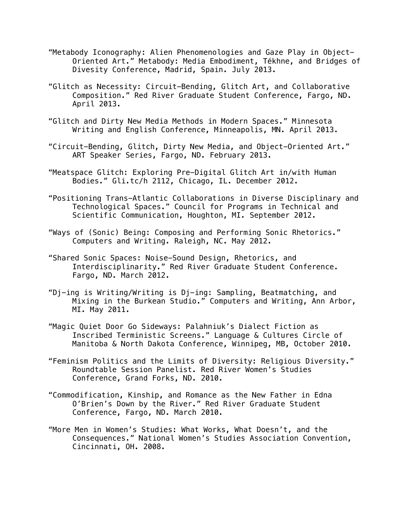- "Metabody Iconography: Alien Phenomenologies and Gaze Play in Object-Oriented Art." Metabody: Media Embodiment, Tékhne, and Bridges of Divesity Conference, Madrid, Spain. July 2013.
- "Glitch as Necessity: Circuit-Bending, Glitch Art, and Collaborative Composition." Red River Graduate Student Conference, Fargo, ND. April 2013.
- "Glitch and Dirty New Media Methods in Modern Spaces." Minnesota Writing and English Conference, Minneapolis, MN. April 2013.
- "Circuit-Bending, Glitch, Dirty New Media, and Object-Oriented Art." ART Speaker Series, Fargo, ND. February 2013.
- "Meatspace Glitch: Exploring Pre-Digital Glitch Art in/with Human Bodies." Gli.tc/h 2112, Chicago, IL. December 2012.
- "Positioning Trans-Atlantic Collaborations in Diverse Disciplinary and Technological Spaces." Council for Programs in Technical and Scientific Communication, Houghton, MI. September 2012.
- "Ways of (Sonic) Being: Composing and Performing Sonic Rhetorics." Computers and Writing. Raleigh, NC. May 2012.
- "Shared Sonic Spaces: Noise-Sound Design, Rhetorics, and Interdisciplinarity." Red River Graduate Student Conference. Fargo, ND. March 2012.
- "Dj-ing is Writing/Writing is Dj-ing: Sampling, Beatmatching, and Mixing in the Burkean Studio." Computers and Writing, Ann Arbor, MI. May 2011.
- "Magic Quiet Door Go Sideways: Palahniuk's Dialect Fiction as Inscribed Terministic Screens." Language & Cultures Circle of Manitoba & North Dakota Conference, Winnipeg, MB, October 2010.
- "Feminism Politics and the Limits of Diversity: Religious Diversity." Roundtable Session Panelist. Red River Women's Studies Conference, Grand Forks, ND. 2010.
- "Commodification, Kinship, and Romance as the New Father in Edna O'Brien's Down by the River." Red River Graduate Student Conference, Fargo, ND. March 2010.
- "More Men in Women's Studies: What Works, What Doesn't, and the Consequences." National Women's Studies Association Convention, Cincinnati, OH. 2008.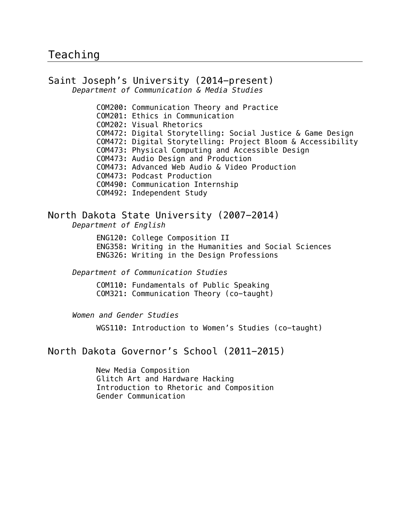#### Saint Joseph's University (2014-present) *Department of Communication & Media Studies*

COM200: Communication Theory and Practice COM201: Ethics in Communication COM202: Visual Rhetorics COM472: Digital Storytelling: Social Justice & Game Design COM472: Digital Storytelling: Project Bloom & Accessibility COM473: Physical Computing and Accessible Design COM473: Audio Design and Production COM473: Advanced Web Audio & Video Production COM473: Podcast Production COM490: Communication Internship COM492: Independent Study

#### North Dakota State University (2007-2014)

*Department of English*

ENG120: College Composition II

ENG358: Writing in the Humanities and Social Sciences ENG326: Writing in the Design Professions

*Department of Communication Studies*

COM110: Fundamentals of Public Speaking COM321: Communication Theory (co-taught)

*Women and Gender Studies*

WGS110: Introduction to Women's Studies (co-taught)

#### North Dakota Governor's School (2011-2015)

New Media Composition Glitch Art and Hardware Hacking Introduction to Rhetoric and Composition Gender Communication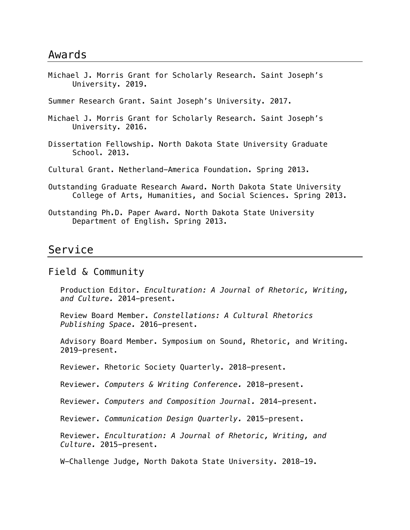Michael J. Morris Grant for Scholarly Research. Saint Joseph's University. 2019.

Summer Research Grant. Saint Joseph's University. 2017.

- Michael J. Morris Grant for Scholarly Research. Saint Joseph's University. 2016.
- Dissertation Fellowship. North Dakota State University Graduate School. 2013.

Cultural Grant. Netherland-America Foundation. Spring 2013.

- Outstanding Graduate Research Award. North Dakota State University College of Arts, Humanities, and Social Sciences. Spring 2013.
- Outstanding Ph.D. Paper Award. North Dakota State University Department of English. Spring 2013.

#### Service

#### Field & Community

Production Editor. *Enculturation: A Journal of Rhetoric, Writing, and Culture.* 2014-present.

Review Board Member. *Constellations: A Cultural Rhetorics Publishing Space.* 2016-present.

Advisory Board Member. Symposium on Sound, Rhetoric, and Writing. 2019-present.

Reviewer. Rhetoric Society Quarterly. 2018-present.

Reviewer. *Computers & Writing Conference.* 2018-present.

Reviewer. *Computers and Composition Journal.* 2014-present.

Reviewer. *Communication Design Quarterly.* 2015-present.

Reviewer. *Enculturation: A Journal of Rhetoric, Writing, and Culture.* 2015-present.

W-Challenge Judge, North Dakota State University. 2018-19.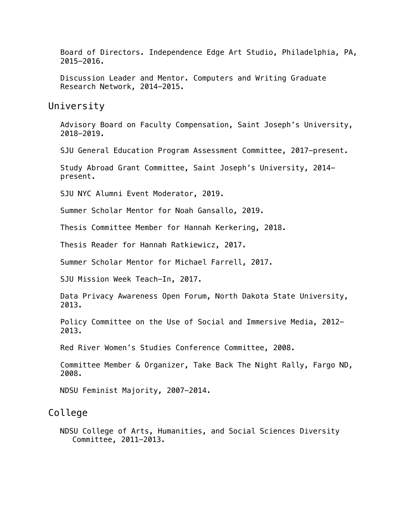Board of Directors. Independence Edge Art Studio, Philadelphia, PA, 2015-2016.

Discussion Leader and Mentor. Computers and Writing Graduate Research Network, 2014-2015.

University

Advisory Board on Faculty Compensation, Saint Joseph's University, 2018-2019.

SJU General Education Program Assessment Committee, 2017-present.

Study Abroad Grant Committee, Saint Joseph's University, 2014 present.

SJU NYC Alumni Event Moderator, 2019.

Summer Scholar Mentor for Noah Gansallo, 2019.

Thesis Committee Member for Hannah Kerkering, 2018.

Thesis Reader for Hannah Ratkiewicz, 2017.

Summer Scholar Mentor for Michael Farrell, 2017.

SJU Mission Week Teach-In, 2017.

Data Privacy Awareness Open Forum, North Dakota State University, 2013.

Policy Committee on the Use of Social and Immersive Media, 2012- 2013.

Red River Women's Studies Conference Committee, 2008.

Committee Member & Organizer, Take Back The Night Rally, Fargo ND, 2008.

NDSU Feminist Majority, 2007-2014.

#### College

NDSU College of Arts, Humanities, and Social Sciences Diversity Committee, 2011-2013.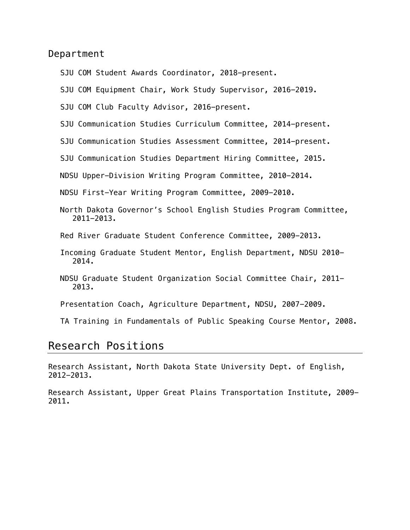Department

SJU COM Student Awards Coordinator, 2018-present.

SJU COM Equipment Chair, Work Study Supervisor, 2016-2019.

SJU COM Club Faculty Advisor, 2016-present.

SJU Communication Studies Curriculum Committee, 2014-present.

SJU Communication Studies Assessment Committee, 2014-present.

SJU Communication Studies Department Hiring Committee, 2015.

NDSU Upper-Division Writing Program Committee, 2010-2014.

NDSU First-Year Writing Program Committee, 2009-2010.

North Dakota Governor's School English Studies Program Committee, 2011-2013.

Red River Graduate Student Conference Committee, 2009-2013.

- Incoming Graduate Student Mentor, English Department, NDSU 2010- 2014.
- NDSU Graduate Student Organization Social Committee Chair, 2011- 2013.

Presentation Coach, Agriculture Department, NDSU, 2007-2009.

TA Training in Fundamentals of Public Speaking Course Mentor, 2008.

### Research Positions

Research Assistant, North Dakota State University Dept. of English, 2012-2013.

Research Assistant, Upper Great Plains Transportation Institute, 2009- 2011.